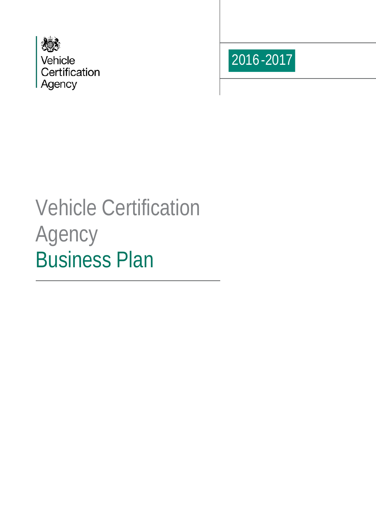



# Vehicle Certification Agency Business Plan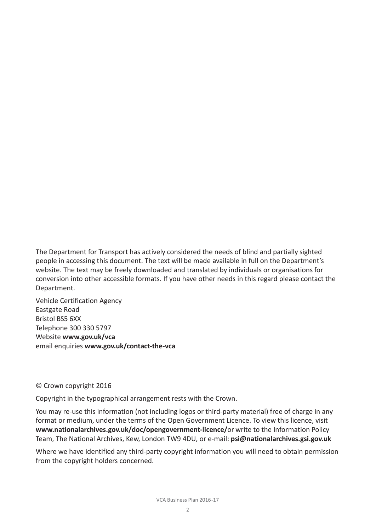The Department for Transport has actively considered the needs of blind and partially sighted people in accessing this document. The text will be made available in full on the Department's website. The text may be freely downloaded and translated by individuals or organisations for conversion into other accessible formats. If you have other needs in this regard please contact the Department.

Vehicle Certification Agency Eastgate Road Bristol BS5 6XX Telephone 300 330 5797 Website **www.gov.uk/vca** email enquiries **www.gov.uk/contact-the-vca**

#### © Crown copyright 2016

Copyright in the typographical arrangement rests with the Crown.

You may re-use this information (not including logos or third-party material) free of charge in any format or medium, under the terms of the Open Government Licence. To view this licence, visit **[www.nationalarchives.gov.uk/doc/opengovernment-licence/](http://www.nationalarchives.gov.uk/doc/opengovernment-licence/or)**or write to the Information Policy Team, The National Archives, Kew, London TW9 4DU, or e-mail: **[psi@nationalarchives.gsi.gov.uk](mailto:psi@nationalarchives.gsi.gov.uk)**

Where we have identified any third-party copyright information you will need to obtain permission from the copyright holders concerned.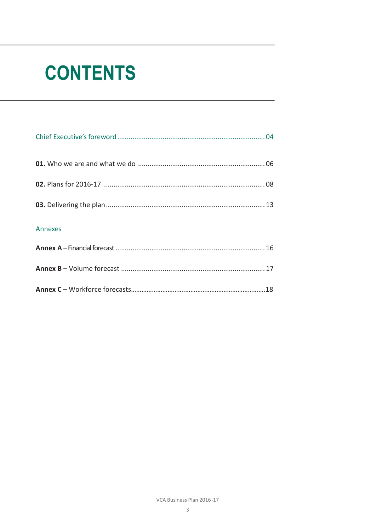# **CONTENTS**

| Annexes |  |
|---------|--|
|         |  |
|         |  |
|         |  |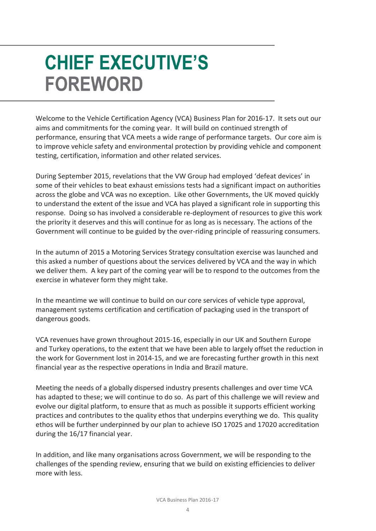## **CHIEF EXECUTIVE'S FOREWORD**

Welcome to the Vehicle Certification Agency (VCA) Business Plan for 2016-17. It sets out our aims and commitments for the coming year. It will build on continued strength of performance, ensuring that VCA meets a wide range of performance targets. Our core aim is to improve vehicle safety and environmental protection by providing vehicle and component testing, certification, information and other related services.

During September 2015, revelations that the VW Group had employed 'defeat devices' in some of their vehicles to beat exhaust emissions tests had a significant impact on authorities across the globe and VCA was no exception. Like other Governments, the UK moved quickly to understand the extent of the issue and VCA has played a significant role in supporting this response. Doing so has involved a considerable re-deployment of resources to give this work the priority it deserves and this will continue for as long as is necessary. The actions of the Government will continue to be guided by the over-riding principle of reassuring consumers.

In the autumn of 2015 a Motoring Services Strategy consultation exercise was launched and this asked a number of questions about the services delivered by VCA and the way in which we deliver them. A key part of the coming year will be to respond to the outcomes from the exercise in whatever form they might take.

In the meantime we will continue to build on our core services of vehicle type approval, management systems certification and certification of packaging used in the transport of dangerous goods.

VCA revenues have grown throughout 2015-16, especially in our UK and Southern Europe and Turkey operations, to the extent that we have been able to largely offset the reduction in the work for Government lost in 2014-15, and we are forecasting further growth in this next financial year as the respective operations in India and Brazil mature.

Meeting the needs of a globally dispersed industry presents challenges and over time VCA has adapted to these; we will continue to do so. As part of this challenge we will review and evolve our digital platform, to ensure that as much as possible it supports efficient working practices and contributes to the quality ethos that underpins everything we do. This quality ethos will be further underpinned by our plan to achieve ISO 17025 and 17020 accreditation during the 16/17 financial year.

In addition, and like many organisations across Government, we will be responding to the challenges of the spending review, ensuring that we build on existing efficiencies to deliver more with less.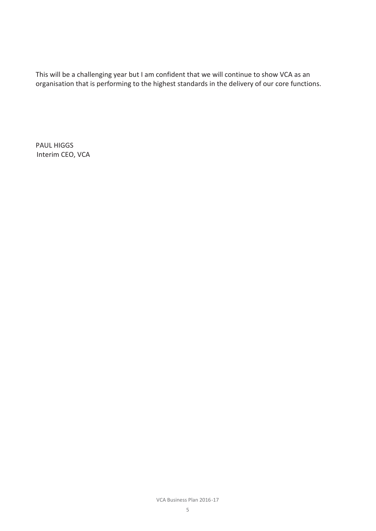This will be a challenging year but I am confident that we will continue to show VCA as an organisation that is performing to the highest standards in the delivery of our core functions.

PAUL HIGGS Interim CEO, VCA

VCA Business Plan 2016-17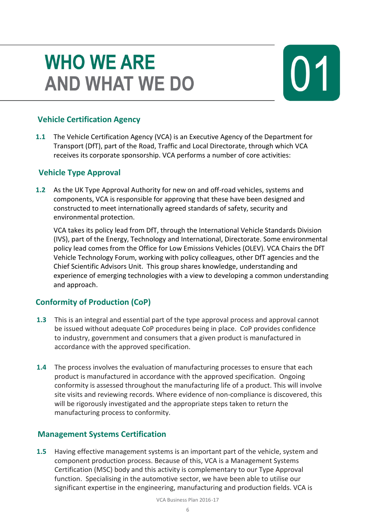### **WHO WE ARE AND WHAT WE DO**

### **Vehicle Certification Agency**

**1.1** The Vehicle Certification Agency (VCA) is an Executive Agency of the Department for Transport (DfT), part of the Road, Traffic and Local Directorate, through which VCA receives its corporate sponsorship. VCA performs a number of core activities:

### **Vehicle Type Approval**

**1.2** As the UK Type Approval Authority for new on and off-road vehicles, systems and components, VCA is responsible for approving that these have been designed and constructed to meet internationally agreed standards of safety, security and environmental protection.

VCA takes its policy lead from DfT, through the International Vehicle Standards Division (IVS), part of the Energy, Technology and International, Directorate. Some environmental policy lead comes from the Office for Low Emissions Vehicles (OLEV). VCA Chairs the DfT Vehicle Technology Forum, working with policy colleagues, other DfT agencies and the Chief Scientific Advisors Unit. This group shares knowledge, understanding and experience of emerging technologies with a view to developing a common understanding and approach.

### **Conformity of Production (CoP)**

- **1.3** This is an integral and essential part of the type approval process and approval cannot be issued without adequate CoP procedures being in place. CoP provides confidence to industry, government and consumers that a given product is manufactured in accordance with the approved specification.
- **1.4** The process involves the evaluation of manufacturing processes to ensure that each product is manufactured in accordance with the approved specification. Ongoing conformity is assessed throughout the manufacturing life of a product. This will involve site visits and reviewing records. Where evidence of non-compliance is discovered, this will be rigorously investigated and the appropriate steps taken to return the manufacturing process to conformity.

### **Management Systems Certification**

**1.5** Having effective management systems is an important part of the vehicle, system and component production process. Because of this, VCA is a Management Systems Certification (MSC) body and this activity is complementary to our Type Approval function. Specialising in the automotive sector, we have been able to utilise our significant expertise in the engineering, manufacturing and production fields. VCA is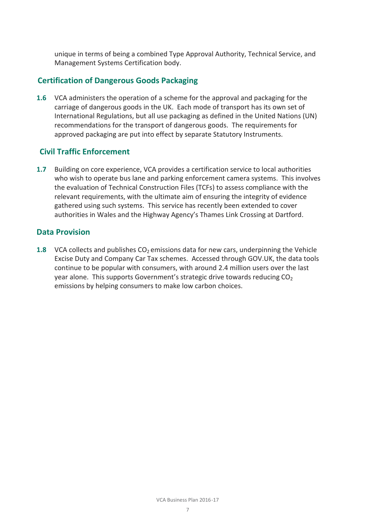unique in terms of being a combined Type Approval Authority, Technical Service, and Management Systems Certification body.

#### **Certification of Dangerous Goods Packaging**

**1.6** VCA administers the operation of a scheme for the approval and packaging for the carriage of dangerous goods in the UK. Each mode of transport has its own set of International Regulations, but all use packaging as defined in the United Nations (UN) recommendations for the transport of dangerous goods. The requirements for approved packaging are put into effect by separate Statutory Instruments.

### **Civil Traffic Enforcement**

**1.7** Building on core experience, VCA provides a certification service to local authorities who wish to operate bus lane and parking enforcement camera systems. This involves the evaluation of Technical Construction Files (TCFs) to assess compliance with the relevant requirements, with the ultimate aim of ensuring the integrity of evidence gathered using such systems. This service has recently been extended to cover authorities in Wales and the Highway Agency's Thames Link Crossing at Dartford.

#### **Data Provision**

**1.8** VCA collects and publishes CO<sub>2</sub> emissions data for new cars, underpinning the Vehicle Excise Duty and Company Car Tax schemes. Accessed through GOV.UK, the data tools continue to be popular with consumers, with around 2.4 million users over the last year alone. This supports Government's strategic drive towards reducing CO<sub>2</sub> emissions by helping consumers to make low carbon choices.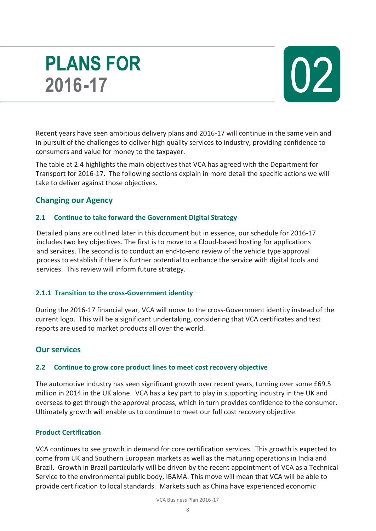### **PLANS FOR** 2016-17



Recent years have seen ambitious delivery plans and 2016-17 will continue in the same vein and in pursuit of the challenges to deliver high quality services to industry, providing confidence to consumers and value for money to the taxpayer.

The table at 2.4 highlights the main objectives that VCA has agreed with the Department for Transport for 2016-17. The following sections explain in more detail the specific actions we will take to deliver against those objectives.

### **Changing our Agency**

#### **2.1 Continue to take forward the Government Digital Strategy**

Detailed plans are outlined later in this document but in essence, our schedule for 2016-17 includes two key objectives. The first is to move to a Cloud-based hosting for applications and services. The second is to conduct an end-to-end review of the vehicle type approval process to establish if there is further potential to enhance the service with digital tools and services. This review will inform future strategy.

#### **2.1.1 Transition to the cross-Government identity**

During the 2016-17 financial year, VCA will move to the cross-Government identity instead of the current logo. This will be a significant undertaking, considering that VCA certificates and test reports are used to market products all over the world.

### **Our services**

#### **2.2 Continue to grow core product lines to meet cost recovery objective**

The automotive industry has seen significant growth over recent years, turning over some £69.5 million in 2014 in the UK alone. VCA has a key part to play in supporting industry in the UK and overseas to get through the approval process, which in turn provides confidence to the consumer. Ultimately growth will enable us to continue to meet our full cost recovery objective.

#### **Product Certification**

VCA continues to see growth in demand for core certification services. This growth is expected to come from UK and Southern European markets as well as the maturing operations in India and Brazil. Growth in Brazil particularly will be driven by the recent appointment of VCA as a Technical Service to the environmental public body, IBAMA. This move will mean that VCA will be able to provide certification to local standards. Markets such as China have experienced economic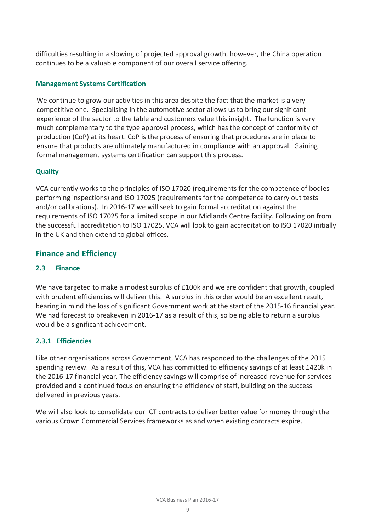difficulties resulting in a slowing of projected approval growth, however, the China operation continues to be a valuable component of our overall service offering.

#### **Management Systems Certification**

We continue to grow our activities in this area despite the fact that the market is a very competitive one. Specialising in the automotive sector allows us to bring our significant experience of the sector to the table and customers value this insight. The function is very much complementary to the type approval process, which has the concept of conformity of production (CoP) at its heart. CoP is the process of ensuring that procedures are in place to ensure that products are ultimately manufactured in compliance with an approval. Gaining formal management systems certification can support this process.

#### **Quality**

VCA currently works to the principles of ISO 17020 (requirements for the competence of bodies performing inspections) and ISO 17025 (requirements for the competence to carry out tests and/or calibrations). In 2016-17 we will seek to gain formal accreditation against the requirements of ISO 17025 for a limited scope in our Midlands Centre facility. Following on from the successful accreditation to ISO 17025, VCA will look to gain accreditation to ISO 17020 initially in the UK and then extend to global offices.

### **Finance and Efficiency**

#### **2.3 Finance**

We have targeted to make a modest surplus of £100k and we are confident that growth, coupled with prudent efficiencies will deliver this. A surplus in this order would be an excellent result, bearing in mind the loss of significant Government work at the start of the 2015-16 financial year. We had forecast to breakeven in 2016-17 as a result of this, so being able to return a surplus would be a significant achievement.

#### **2.3.1 Efficiencies**

Like other organisations across Government, VCA has responded to the challenges of the 2015 spending review. As a result of this, VCA has committed to efficiency savings of at least £420k in the 2016-17 financial year. The efficiency savings will comprise of increased revenue for services provided and a continued focus on ensuring the efficiency of staff, building on the success delivered in previous years.

We will also look to consolidate our ICT contracts to deliver better value for money through the various Crown Commercial Services frameworks as and when existing contracts expire.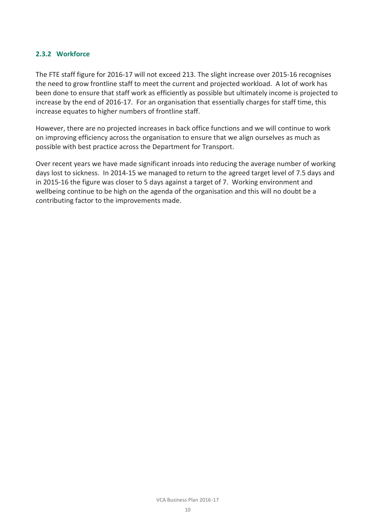#### **2.3.2 Workforce**

The FTE staff figure for 2016-17 will not exceed 213. The slight increase over 2015-16 recognises the need to grow frontline staff to meet the current and projected workload. A lot of work has been done to ensure that staff work as efficiently as possible but ultimately income is projected to increase by the end of 2016-17. For an organisation that essentially charges for staff time, this increase equates to higher numbers of frontline staff.

However, there are no projected increases in back office functions and we will continue to work on improving efficiency across the organisation to ensure that we align ourselves as much as possible with best practice across the Department for Transport.

Over recent years we have made significant inroads into reducing the average number of working days lost to sickness. In 2014-15 we managed to return to the agreed target level of 7.5 days and in 2015-16 the figure was closer to 5 days against a target of 7. Working environment and wellbeing continue to be high on the agenda of the organisation and this will no doubt be a contributing factor to the improvements made.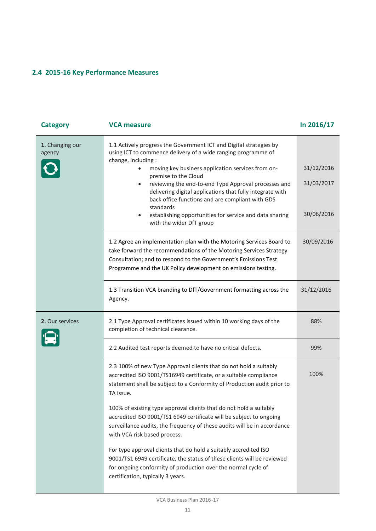### **2.4 2015-16 Key Performance Measures**

| <b>Category</b>           | <b>VCA measure</b>                                                                                                                                                                                                                                                                                                                                                                                                                                                                                                                            | In 2016/17                             |
|---------------------------|-----------------------------------------------------------------------------------------------------------------------------------------------------------------------------------------------------------------------------------------------------------------------------------------------------------------------------------------------------------------------------------------------------------------------------------------------------------------------------------------------------------------------------------------------|----------------------------------------|
| 1. Changing our<br>agency | 1.1 Actively progress the Government ICT and Digital strategies by<br>using ICT to commence delivery of a wide ranging programme of<br>change, including:<br>moving key business application services from on-<br>premise to the Cloud<br>reviewing the end-to-end Type Approval processes and<br>$\bullet$<br>delivering digital applications that fully integrate with<br>back office functions and are compliant with GDS<br>standards<br>establishing opportunities for service and data sharing<br>$\bullet$<br>with the wider DfT group | 31/12/2016<br>31/03/2017<br>30/06/2016 |
|                           | 1.2 Agree an implementation plan with the Motoring Services Board to<br>take forward the recommendations of the Motoring Services Strategy<br>Consultation; and to respond to the Government's Emissions Test<br>Programme and the UK Policy development on emissions testing.                                                                                                                                                                                                                                                                | 30/09/2016                             |
|                           | 1.3 Transition VCA branding to DfT/Government formatting across the<br>Agency.                                                                                                                                                                                                                                                                                                                                                                                                                                                                | 31/12/2016                             |
| 2. Our services           | 2.1 Type Approval certificates issued within 10 working days of the<br>completion of technical clearance.                                                                                                                                                                                                                                                                                                                                                                                                                                     | 88%                                    |
|                           | 2.2 Audited test reports deemed to have no critical defects.                                                                                                                                                                                                                                                                                                                                                                                                                                                                                  | 99%                                    |
|                           | 2.3 100% of new Type Approval clients that do not hold a suitably<br>accredited ISO 9001/TS16949 certificate, or a suitable compliance<br>statement shall be subject to a Conformity of Production audit prior to<br>TA issue.                                                                                                                                                                                                                                                                                                                | 100%                                   |
|                           | 100% of existing type approval clients that do not hold a suitably<br>accredited ISO 9001/TS1 6949 certificate will be subject to ongoing<br>surveillance audits, the frequency of these audits will be in accordance<br>with VCA risk based process.                                                                                                                                                                                                                                                                                         |                                        |
|                           | For type approval clients that do hold a suitably accredited ISO<br>9001/TS1 6949 certificate, the status of these clients will be reviewed<br>for ongoing conformity of production over the normal cycle of<br>certification, typically 3 years.                                                                                                                                                                                                                                                                                             |                                        |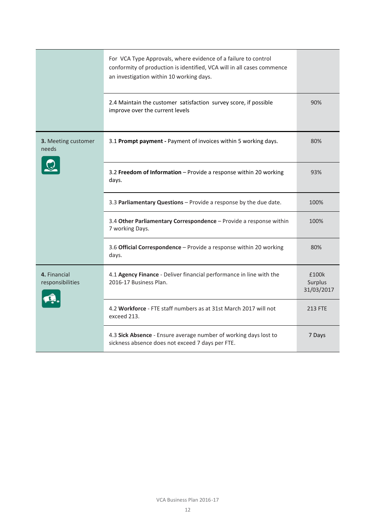|                                  | For VCA Type Approvals, where evidence of a failure to control<br>conformity of production is identified, VCA will in all cases commence<br>an investigation within 10 working days. |                                |
|----------------------------------|--------------------------------------------------------------------------------------------------------------------------------------------------------------------------------------|--------------------------------|
|                                  | 2.4 Maintain the customer satisfaction survey score, if possible<br>improve over the current levels                                                                                  | 90%                            |
| 3. Meeting customer<br>needs     | 3.1 Prompt payment - Payment of invoices within 5 working days.                                                                                                                      | 80%                            |
|                                  | 3.2 Freedom of Information - Provide a response within 20 working<br>days.                                                                                                           | 93%                            |
|                                  | 3.3 Parliamentary Questions - Provide a response by the due date.                                                                                                                    | 100%                           |
|                                  | 3.4 Other Parliamentary Correspondence - Provide a response within<br>7 working Days.                                                                                                | 100%                           |
|                                  | 3.6 Official Correspondence - Provide a response within 20 working<br>days.                                                                                                          | 80%                            |
| 4. Financial<br>responsibilities | 4.1 Agency Finance - Deliver financial performance in line with the<br>2016-17 Business Plan.                                                                                        | £100k<br>Surplus<br>31/03/2017 |
|                                  | 4.2 Workforce - FTE staff numbers as at 31st March 2017 will not<br>exceed 213.                                                                                                      | <b>213 FTE</b>                 |
|                                  | 4.3 Sick Absence - Ensure average number of working days lost to<br>sickness absence does not exceed 7 days per FTE.                                                                 | 7 Days                         |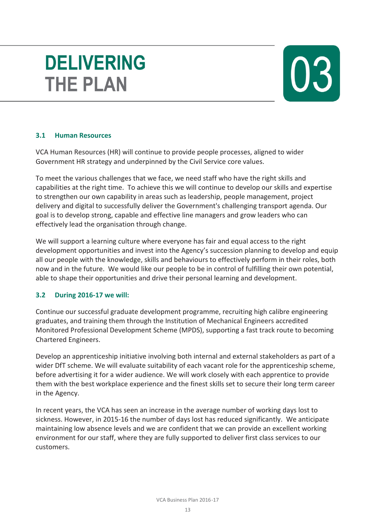## **DELIVERING THE PLAN**



### **3.1 Human Resources**

VCA Human Resources (HR) will continue to provide people processes, aligned to wider Government HR strategy and underpinned by the Civil Service core values.

To meet the various challenges that we face, we need staff who have the right skills and capabilities at the right time. To achieve this we will continue to develop our skills and expertise to strengthen our own capability in areas such as leadership, people management, project delivery and digital to successfully deliver the Government's challenging transport agenda. Our goal is to develop strong, capable and effective line managers and grow leaders who can effectively lead the organisation through change.

We will support a learning culture where everyone has fair and equal access to the right development opportunities and invest into the Agency's succession planning to develop and equip all our people with the knowledge, skills and behaviours to effectively perform in their roles, both now and in the future. We would like our people to be in control of fulfilling their own potential, able to shape their opportunities and drive their personal learning and development.

#### **3.2 During 2016-17 we will:**

Continue our successful graduate development programme, recruiting high calibre engineering graduates, and training them through the Institution of Mechanical Engineers accredited Monitored Professional Development Scheme (MPDS), supporting a fast track route to becoming Chartered Engineers.

Develop an apprenticeship initiative involving both internal and external stakeholders as part of a wider DfT scheme. We will evaluate suitability of each vacant role for the apprenticeship scheme, before advertising it for a wider audience. We will work closely with each apprentice to provide them with the best workplace experience and the finest skills set to secure their long term career in the Agency.

In recent years, the VCA has seen an increase in the average number of working days lost to sickness. However, in 2015-16 the number of days lost has reduced significantly. We anticipate maintaining low absence levels and we are confident that we can provide an excellent working environment for our staff, where they are fully supported to deliver first class services to our customers.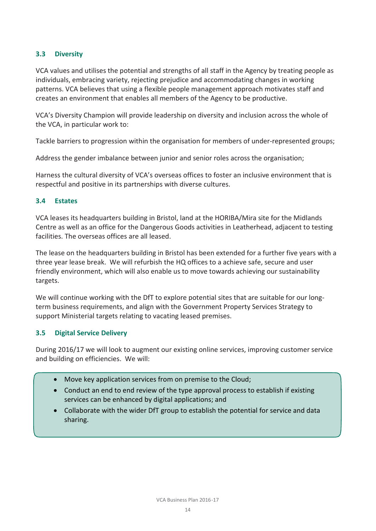#### **3.3 Diversity**

VCA values and utilises the potential and strengths of all staff in the Agency by treating people as individuals, embracing variety, rejecting prejudice and accommodating changes in working patterns. VCA believes that using a flexible people management approach motivates staff and creates an environment that enables all members of the Agency to be productive.

VCA's Diversity Champion will provide leadership on diversity and inclusion across the whole of the VCA, in particular work to:

Tackle barriers to progression within the organisation for members of under-represented groups;

Address the gender imbalance between junior and senior roles across the organisation;

Harness the cultural diversity of VCA's overseas offices to foster an inclusive environment that is respectful and positive in its partnerships with diverse cultures.

#### **3.4 Estates**

VCA leases its headquarters building in Bristol, land at the HORIBA/Mira site for the Midlands Centre as well as an office for the Dangerous Goods activities in Leatherhead, adjacent to testing facilities. The overseas offices are all leased.

The lease on the headquarters building in Bristol has been extended for a further five years with a three year lease break. We will refurbish the HQ offices to a achieve safe, secure and user friendly environment, which will also enable us to move towards achieving our sustainability targets.

We will continue working with the DfT to explore potential sites that are suitable for our longterm business requirements, and align with the Government Property Services Strategy to support Ministerial targets relating to vacating leased premises.

#### **3.5 Digital Service Delivery**

During 2016/17 we will look to augment our existing online services, improving customer service and building on efficiencies. We will:

- Move key application services from on premise to the Cloud;
- Conduct an end to end review of the type approval process to establish if existing services can be enhanced by digital applications; and
- Collaborate with the wider DfT group to establish the potential for service and data sharing.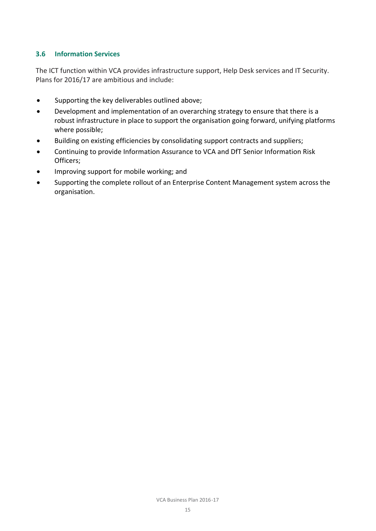#### **3.6 Information Services**

The ICT function within VCA provides infrastructure support, Help Desk services and IT Security. Plans for 2016/17 are ambitious and include:

- Supporting the key deliverables outlined above;
- Development and implementation of an overarching strategy to ensure that there is a robust infrastructure in place to support the organisation going forward, unifying platforms where possible;
- Building on existing efficiencies by consolidating support contracts and suppliers;
- Continuing to provide Information Assurance to VCA and DfT Senior Information Risk Officers;
- Improving support for mobile working; and
- Supporting the complete rollout of an Enterprise Content Management system across the organisation.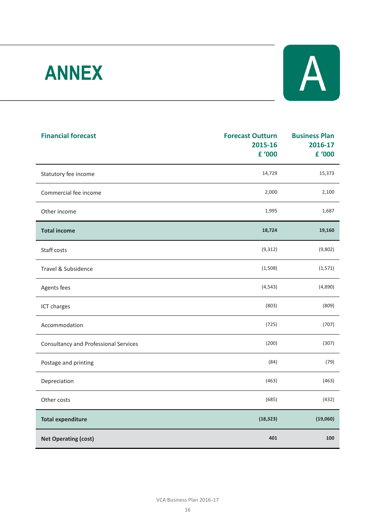# **ANNEX**



| <b>Financial forecast</b>                    | <b>Forecast Outturn</b><br>2015-16<br>£ '000 | <b>Business Plan</b><br>2016-17<br>£ '000 |
|----------------------------------------------|----------------------------------------------|-------------------------------------------|
| Statutory fee income                         | 14,729                                       | 15,373                                    |
| Commercial fee income                        | 2,000                                        | 2,100                                     |
| Other income                                 | 1,995                                        | 1,687                                     |
| <b>Total income</b>                          | 18,724                                       | 19,160                                    |
| Staff costs                                  | (9, 312)                                     | (9,802)                                   |
| Travel & Subsidence                          | (1,508)                                      | (1,571)                                   |
| Agents fees                                  | (4, 543)                                     | (4,890)                                   |
| ICT charges                                  | (803)                                        | (809)                                     |
| Accommodation                                | (725)                                        | (707)                                     |
| <b>Consultancy and Professional Services</b> | (200)                                        | (307)                                     |
| Postage and printing                         | (84)                                         | (79)                                      |
| Depreciation                                 | (463)                                        | (463)                                     |
| Other costs                                  | (685)                                        | (432)                                     |
| <b>Total expenditure</b>                     | (18, 323)                                    | (19,060)                                  |
| <b>Net Operating (cost)</b>                  | 401                                          | 100                                       |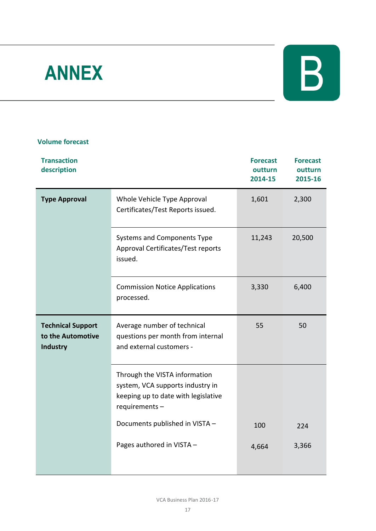# **ANNEX**



#### **Volume forecast**

| <b>Transaction</b><br>description                         |                                                                                                                           | <b>Forecast</b><br>outturn<br>2014-15 | <b>Forecast</b><br>outturn<br>2015-16 |
|-----------------------------------------------------------|---------------------------------------------------------------------------------------------------------------------------|---------------------------------------|---------------------------------------|
| <b>Type Approval</b>                                      | Whole Vehicle Type Approval<br>Certificates/Test Reports issued.                                                          | 1,601                                 | 2,300                                 |
|                                                           | Systems and Components Type<br>Approval Certificates/Test reports<br>issued.                                              | 11,243                                | 20,500                                |
|                                                           | <b>Commission Notice Applications</b><br>processed.                                                                       | 3,330                                 | 6,400                                 |
| <b>Technical Support</b><br>to the Automotive<br>Industry | Average number of technical<br>questions per month from internal<br>and external customers -                              | 55                                    | 50                                    |
|                                                           | Through the VISTA information<br>system, VCA supports industry in<br>keeping up to date with legislative<br>requirements- |                                       |                                       |
|                                                           | Documents published in VISTA -                                                                                            | 100                                   | 224                                   |
|                                                           | Pages authored in VISTA -                                                                                                 | 4,664                                 | 3,366                                 |